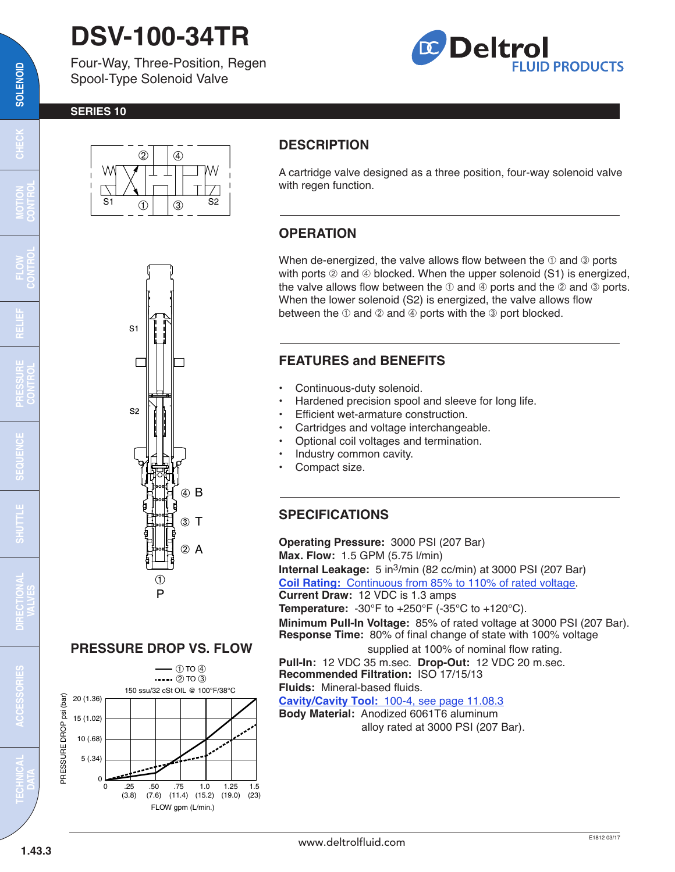# **DSV-100-34TR**

Four-Way, Three-Position, Regen Spool-Type Solenoid Valve



#### **SERIES 10**



## **DESCRIPTION**

A cartridge valve designed as a three position, four-way solenoid valve with regen function.

### **OPERATION**

When de-energized, the valve allows flow between the  $\mathbb O$  and  $\mathbb O$  ports with ports  $@$  and  $@$  blocked. When the upper solenoid (S1) is energized, the valve allows flow between the  $\mathbb O$  and  $\mathbb Q$  ports and the  $\mathbb Q$  and  $\mathbb Q$  ports. When the lower solenoid (S2) is energized, the valve allows flow between the  $\odot$  and  $\odot$  and  $\odot$  ports with the  $\odot$  port blocked.

#### **FEATURES and BENEFITS**

- Continuous-duty solenoid.
- Hardened precision spool and sleeve for long life.
- Efficient wet-armature construction.
- Cartridges and voltage interchangeable.
- Optional coil voltages and termination.
- Industry common cavity.
- Compact size.

### **SPECIFICATIONS**

**Operating Pressure:** 3000 PSI (207 Bar) **Max. Flow:** 1.5 GPM (5.75 l/min) **Internal Leakage:** 5 in3/min (82 cc/min) at 3000 PSI (207 Bar) **Coil Rating:** [Continuous from 85% to 110% of rated voltage.](http://www.deltrolfluid.com/sites/default/files/cartridge/Series-10_Coil.pdf) **Current Draw:** 12 VDC is 1.3 amps **Temperature:** -30°F to +250°F (-35°C to +120°C). **Minimum Pull-In Voltage:** 85% of rated voltage at 3000 PSI (207 Bar). **Response Time:** 80% of final change of state with 100% voltage supplied at 100% of nominal flow rating. **Pull-In:** 12 VDC 35 m.sec. **Drop-Out:** 12 VDC 20 m.sec. **Recommended Filtration:** ISO 17/15/13 **Fluids:** Mineral-based fluids. **Cavity/Cavity Tool:** [100-4, see page 11.08.3](http://www.deltrolfluid.com/sites/default/files/cartridge/100-4_Cavity.pdf)

**Body Material:** Anodized 6061T6 aluminum alloy rated at 3000 PSI (207 Bar).



 $\overline{\mathbf{c}}$ 

**SOLENOID**

SOLENOID

**RELIEF**

**SHUTTLE** 





 $-$  (1) TO  $\overline{4}$ )

150 ssu/32 cSt OIL @ 100°F/38°C  $\cdots$  (2) TO  $\ddot{3}$ 

PRESSURE DROP psi (bar)

PRESSURE DROP

psi (bar)

20 (1.36) 15 (1.02) 10 (.68) 5 (.34)

0